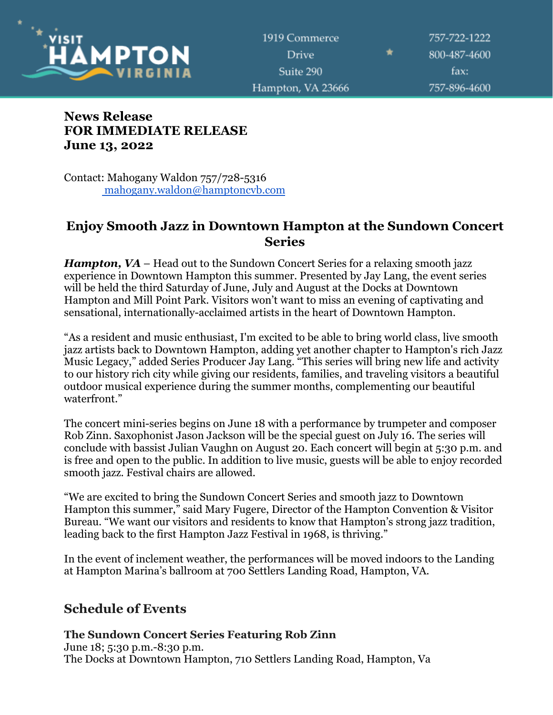

757-722-1222 800-487-4600 fax: 757-896-4600

# **News Release FOR IMMEDIATE RELEASE June 13, 2022**

Contact: Mahogany Waldon 757/728-5316 [mahogany.waldon@hamptoncvb.com](mailto:mahogany.waldon@hamptoncvb.com)

# **Enjoy Smooth Jazz in Downtown Hampton at the Sundown Concert Series**

*Hampton, VA* – Head out to the Sundown Concert Series for a relaxing smooth jazz experience in Downtown Hampton this summer. Presented by Jay Lang, the event series will be held the third Saturday of June, July and August at the Docks at Downtown Hampton and Mill Point Park. Visitors won't want to miss an evening of captivating and sensational, internationally-acclaimed artists in the heart of Downtown Hampton.

"As a resident and music enthusiast, I'm excited to be able to bring world class, live smooth jazz artists back to Downtown Hampton, adding yet another chapter to Hampton's rich Jazz Music Legacy," added Series Producer Jay Lang. "This series will bring new life and activity to our history rich city while giving our residents, families, and traveling visitors a beautiful outdoor musical experience during the summer months, complementing our beautiful waterfront."

The concert mini-series begins on June 18 with a performance by trumpeter and composer Rob Zinn. Saxophonist Jason Jackson will be the special guest on July 16. The series will conclude with bassist Julian Vaughn on August 20. Each concert will begin at 5:30 p.m. and is free and open to the public. In addition to live music, guests will be able to enjoy recorded smooth jazz. Festival chairs are allowed.

"We are excited to bring the Sundown Concert Series and smooth jazz to Downtown Hampton this summer," said Mary Fugere, Director of the Hampton Convention & Visitor Bureau. "We want our visitors and residents to know that Hampton's strong jazz tradition, leading back to the first Hampton Jazz Festival in 1968, is thriving."

In the event of inclement weather, the performances will be moved indoors to the Landing at Hampton Marina's ballroom at 700 Settlers Landing Road, Hampton, VA.

# **Schedule of Events**

### **The Sundown Concert Series Featuring Rob Zinn**

June 18; 5:30 p.m.-8:30 p.m. The Docks at Downtown Hampton, 710 Settlers Landing Road, Hampton, Va